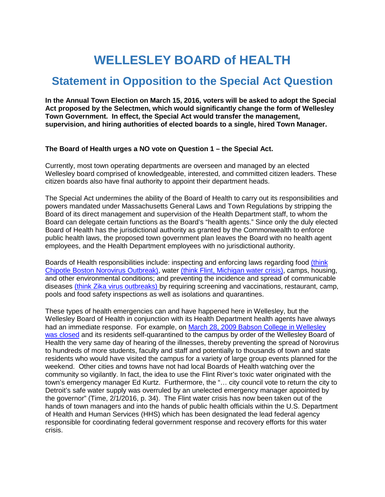## **WELLESLEY BOARD of HEALTH**

## **Statement in Opposition to the Special Act Question**

**In the Annual Town Election on March 15, 2016, voters will be asked to adopt the Special Act proposed by the Selectmen, which would significantly change the form of Wellesley Town Government. In effect, the Special Act would transfer the management, supervision, and hiring authorities of elected boards to a single, hired Town Manager.**

## **The Board of Health urges a NO vote on Question 1 – the Special Act.**

Currently, most town operating departments are overseen and managed by an elected Wellesley board comprised of knowledgeable, interested, and committed citizen leaders. These citizen boards also have final authority to appoint their department heads.

The Special Act undermines the ability of the Board of Health to carry out its responsibilities and powers mandated under Massachusetts General Laws and Town Regulations by stripping the Board of its direct management and supervision of the Health Department staff, to whom the Board can delegate certain functions as the Board's "health agents." Since only the duly elected Board of Health has the jurisdictional authority as granted by the Commonwealth to enforce public health laws, the proposed town government plan leaves the Board with no health agent employees, and the Health Department employees with no jurisdictional authority.

Boards of Health responsibilities include: inspecting and enforcing laws regarding food [\(think](http://www.cbsnews.com/news/boston-chipotle-illness-norovirus-e-coli-investigation/)  [Chipotle Boston Norovirus Outbreak\),](http://www.cbsnews.com/news/boston-chipotle-illness-norovirus-e-coli-investigation/) water [\(think Flint, Michigan water crisis\),](http://www.hhs.gov/blog/2016/01/19/ground-week-hhs-lead-federal-response-flint.html) camps, housing, and other environmental conditions; and preventing the incidence and spread of communicable diseases [\(think Zika virus outbreaks\) b](http://www.cdc.gov/zika/)y requiring screening and vaccinations, restaurant, camp, pools and food safety inspections as well as isolations and quarantines.

These types of health emergencies can and have happened here in Wellesley, but the Wellesley Board of Health in conjunction with its Health Department health agents have always had an immediate response. For example, on [March 28, 2009 Babson College in Wellesley](http://www.wickedlocal.com/article/20090401/News/304019727)  [was closed](http://www.wickedlocal.com/article/20090401/News/304019727) and its residents self-quarantined to the campus by order of the Wellesley Board of Health the very same day of hearing of the illnesses, thereby preventing the spread of Norovirus to hundreds of more students, faculty and staff and potentially to thousands of town and state residents who would have visited the campus for a variety of large group events planned for the weekend. Other cities and towns have not had local Boards of Health watching over the community so vigilantly. In fact, the idea to use the Flint River's toxic water originated with the town's emergency manager Ed Kurtz. Furthermore, the "… city council vote to return the city to Detroit's safe water supply was overruled by an unelected emergency manager appointed by the governor" (Time, 2/1/2016, p. 34). The Flint water crisis has now been taken out of the hands of town managers and into the hands of public health officials within the U.S. Department of Health and Human Services (HHS) which has been designated the lead federal agency responsible for coordinating federal government response and recovery efforts for this water crisis.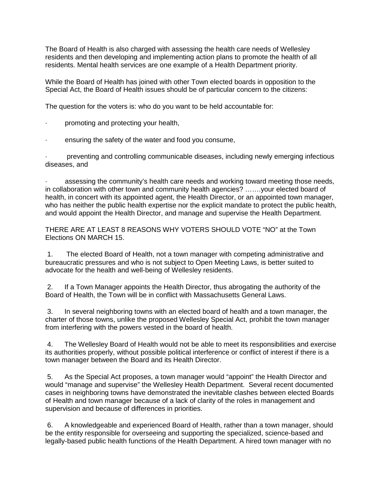The Board of Health is also charged with assessing the health care needs of Wellesley residents and then developing and implementing action plans to promote the health of all residents. Mental health services are one example of a Health Department priority.

While the Board of Health has joined with other Town elected boards in opposition to the Special Act, the Board of Health issues should be of particular concern to the citizens:

The question for the voters is: who do you want to be held accountable for:

- · promoting and protecting your health,
- ensuring the safety of the water and food you consume,

preventing and controlling communicable diseases, including newly emerging infectious diseases, and

assessing the community's health care needs and working toward meeting those needs, in collaboration with other town and community health agencies? …….your elected board of health, in concert with its appointed agent, the Health Director, or an appointed town manager, who has neither the public health expertise nor the explicit mandate to protect the public health, and would appoint the Health Director, and manage and supervise the Health Department.

THERE ARE AT LEAST 8 REASONS WHY VOTERS SHOULD VOTE "NO" at the Town Elections ON MARCH 15.

1. The elected Board of Health, not a town manager with competing administrative and bureaucratic pressures and who is not subject to Open Meeting Laws, is better suited to advocate for the health and well-being of Wellesley residents.

2. If a Town Manager appoints the Health Director, thus abrogating the authority of the Board of Health, the Town will be in conflict with Massachusetts General Laws.

3. In several neighboring towns with an elected board of health and a town manager, the charter of those towns, unlike the proposed Wellesley Special Act, prohibit the town manager from interfering with the powers vested in the board of health.

4. The Wellesley Board of Health would not be able to meet its responsibilities and exercise its authorities properly, without possible political interference or conflict of interest if there is a town manager between the Board and its Health Director.

5. As the Special Act proposes, a town manager would "appoint" the Health Director and would "manage and supervise" the Wellesley Health Department. Several recent documented cases in neighboring towns have demonstrated the inevitable clashes between elected Boards of Health and town manager because of a lack of clarity of the roles in management and supervision and because of differences in priorities.

6. A knowledgeable and experienced Board of Health, rather than a town manager, should be the entity responsible for overseeing and supporting the specialized, science-based and legally-based public health functions of the Health Department. A hired town manager with no